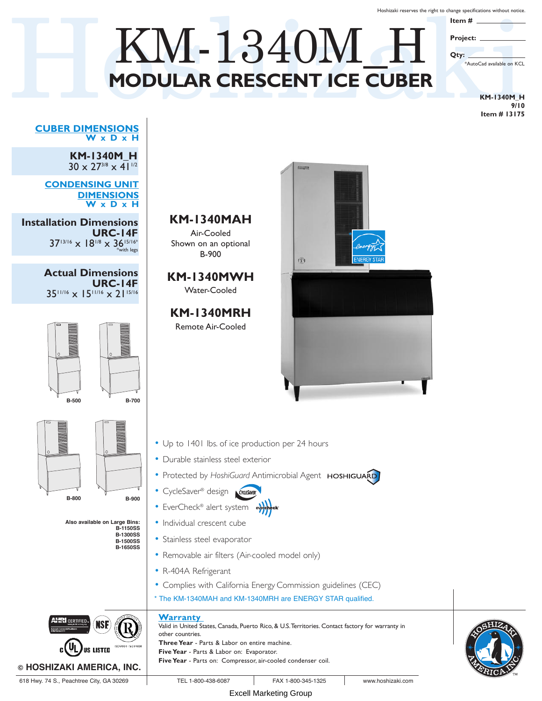Hoshizaki reserves the right to change specifications without notice.

**Item # Project:**

**Qty:**

# M-1340M Hoshina Warehous Whole Mountain Children and The Cube R<br>MODULAR CRESCENT ICE CUBER **MODULAR CRESCENT ICE CUBER** KM-1340M\_H

**KM-1340M\_H 9/10 Item # 13175**

\*AutoCad available on KCL

#### **CUBER DIMENSIONS W x D x H**

**KM-1340M\_H**  $30 \times 27^{3/8} \times 41^{1/2}$ 

**CONDENSING UNIT DIMENSIONS W x D x H**

**Installation Dimensions URC-14F**  $37^{13/16} \times 18^{1/8} \times 36^{15/16*}$ 

> **Actual Dimensions URC-14F** 3511/16 x 1511/16 x 2115/16





**Also available on Large Bins: B-1150SS B-1300SS**

> **B-1500SS B-1650SS**



- Up to 1401 lbs. of ice production per 24 hours
- Durable stainless steel exterior

**KM-1340MAH** Air-Cooled Shown on an optional B-900

**KM-1340MWH** Water-Cooled

**KM-1340MRH** Remote Air-Cooled

- Protected by HoshiGuard Antimicrobial Agent HOSHIGUARD
- **•** CycleSaver® design *Craiswire*
- EverCheck® alert system evercheck
- Individual crescent cube
- Stainless steel evaporator
- Removable air filters (Air-cooled model only)
- R-404A Refrigerant
- Complies with California Energy Commission guidelines (CEC)
- \* The KM-1340MAH and KM-1340MRH are ENERGY STAR qualified.

### **Warranty**





**HRI** CERTIFIED

**© HOSHIZAKI AMERICA, INC.**

US LISTED

Excell Marketing Group